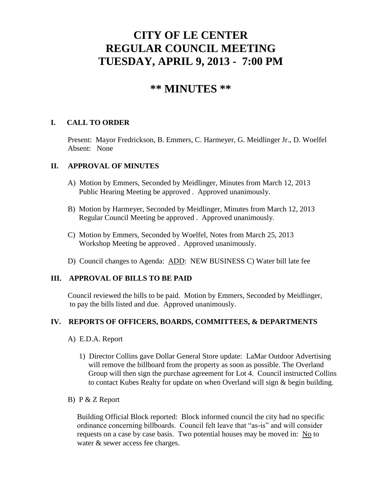# **CITY OF LE CENTER REGULAR COUNCIL MEETING TUESDAY, APRIL 9, 2013 - 7:00 PM**

# **\*\* MINUTES \*\***

## **I. CALL TO ORDER**

Present: Mayor Fredrickson, B. Emmers, C. Harmeyer, G. Meidlinger Jr., D. Woelfel Absent: None

#### **II. APPROVAL OF MINUTES**

- A) Motion by Emmers, Seconded by Meidlinger, Minutes from March 12, 2013 Public Hearing Meeting be approved . Approved unanimously.
- B) Motion by Harmeyer, Seconded by Meidlinger, Minutes from March 12, 2013 Regular Council Meeting be approved . Approved unanimously.
- C) Motion by Emmers, Seconded by Woelfel, Notes from March 25, 2013 Workshop Meeting be approved . Approved unanimously.
- D) Council changes to Agenda: ADD: NEW BUSINESS C) Water bill late fee

#### **III. APPROVAL OF BILLS TO BE PAID**

Council reviewed the bills to be paid. Motion by Emmers, Seconded by Meidlinger, to pay the bills listed and due. Approved unanimously.

# **IV. REPORTS OF OFFICERS, BOARDS, COMMITTEES, & DEPARTMENTS**

- A) E.D.A. Report
	- 1) Director Collins gave Dollar General Store update: LaMar Outdoor Advertising will remove the billboard from the property as soon as possible. The Overland Group will then sign the purchase agreement for Lot 4. Council instructed Collins to contact Kubes Realty for update on when Overland will sign & begin building.
- B) P & Z Report

 Building Official Block reported: Block informed council the city had no specific ordinance concerning billboards. Council felt leave that "as-is" and will consider requests on a case by case basis. Two potential houses may be moved in:  $N<sub>0</sub>$  to water & sewer access fee charges.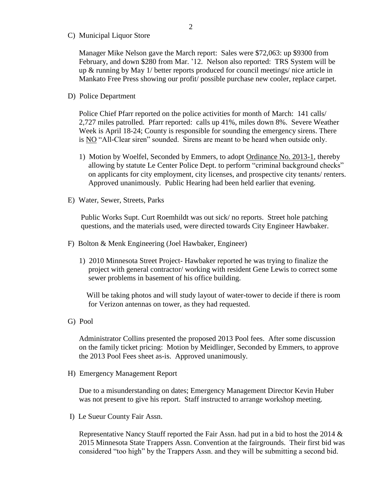C) Municipal Liquor Store

Manager Mike Nelson gave the March report: Sales were \$72,063: up \$9300 from February, and down \$280 from Mar. '12. Nelson also reported: TRS System will be up & running by May 1/ better reports produced for council meetings/ nice article in Mankato Free Press showing our profit/ possible purchase new cooler, replace carpet.

D) Police Department

Police Chief Pfarr reported on the police activities for month of March: 141 calls/ 2,727 miles patrolled. Pfarr reported: calls up 41%, miles down 8%. Severe Weather Week is April 18-24; County is responsible for sounding the emergency sirens. There is NO "All-Clear siren" sounded. Sirens are meant to be heard when outside only.

- 1) Motion by Woelfel, Seconded by Emmers, to adopt Ordinance No. 2013-1, thereby allowing by statute Le Center Police Dept. to perform "criminal background checks" on applicants for city employment, city licenses, and prospective city tenants/ renters. Approved unanimously. Public Hearing had been held earlier that evening.
- E) Water, Sewer, Streets, Parks

 Public Works Supt. Curt Roemhildt was out sick/ no reports. Street hole patching questions, and the materials used, were directed towards City Engineer Hawbaker.

- F) Bolton & Menk Engineering (Joel Hawbaker, Engineer)
	- 1) 2010 Minnesota Street Project- Hawbaker reported he was trying to finalize the project with general contractor/ working with resident Gene Lewis to correct some sewer problems in basement of his office building.

 Will be taking photos and will study layout of water-tower to decide if there is room for Verizon antennas on tower, as they had requested.

G) Pool

 Administrator Collins presented the proposed 2013 Pool fees. After some discussion on the family ticket pricing: Motion by Meidlinger, Seconded by Emmers, to approve the 2013 Pool Fees sheet as-is. Approved unanimously.

H) Emergency Management Report

 Due to a misunderstanding on dates; Emergency Management Director Kevin Huber was not present to give his report. Staff instructed to arrange workshop meeting.

I) Le Sueur County Fair Assn.

Representative Nancy Stauff reported the Fair Assn. had put in a bid to host the 2014  $\&$  2015 Minnesota State Trappers Assn. Convention at the fairgrounds. Their first bid was considered "too high" by the Trappers Assn. and they will be submitting a second bid.